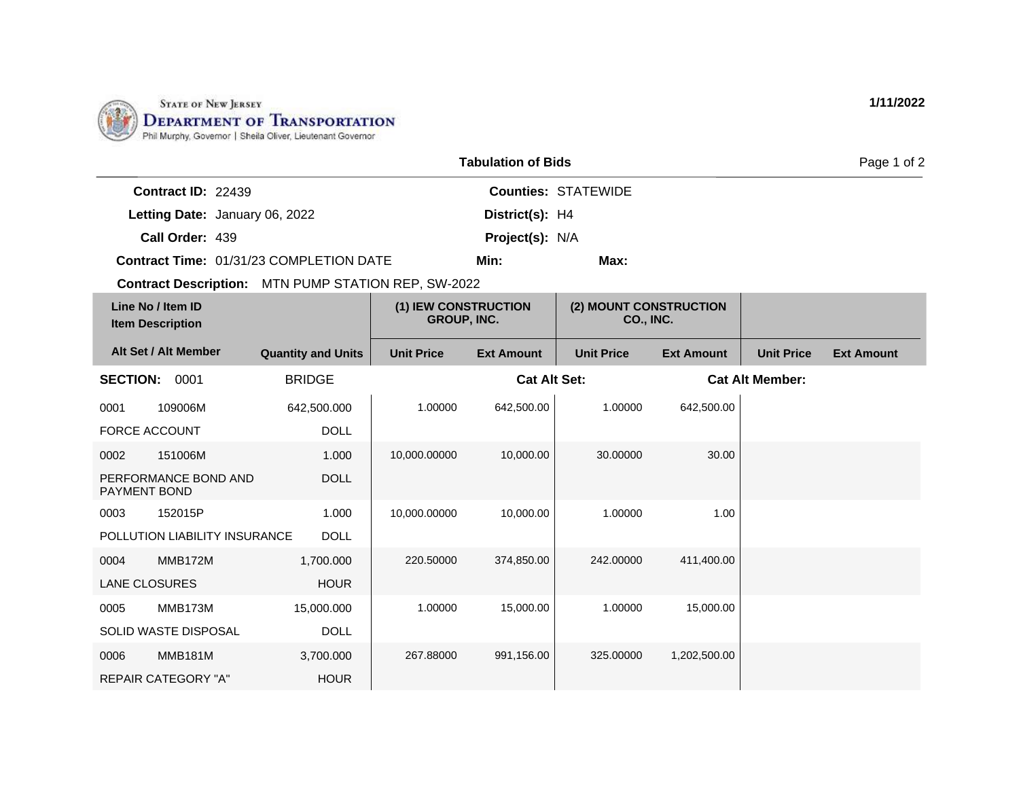

POLLUTION LIABILITY INSURANCE

0004 MMB172M LANE CLOSURES

0005 MMB173M

0006 MMB181M REPAIR CATEGORY "A"

SOLID WASTE DISPOSAL

DOLL

1,700.000 HOUR

15,000.000

3,700.000 HOUR

DOLL

|                                                            |                           |                                            | <b>Tabulation of Bids</b> |                                     |                   |                        | Page 1 of 2       |
|------------------------------------------------------------|---------------------------|--------------------------------------------|---------------------------|-------------------------------------|-------------------|------------------------|-------------------|
| Contract ID: 22439                                         |                           |                                            |                           | <b>Counties: STATEWIDE</b>          |                   |                        |                   |
| Letting Date: January 06, 2022                             |                           |                                            | District(s): H4           |                                     |                   |                        |                   |
| Call Order: 439                                            |                           |                                            | Project(s): N/A           |                                     |                   |                        |                   |
| Contract Time: 01/31/23 COMPLETION DATE                    |                           |                                            | Min:                      | Max:                                |                   |                        |                   |
| <b>Contract Description:</b> MTN PUMP STATION REP, SW-2022 |                           |                                            |                           |                                     |                   |                        |                   |
| Line No / Item ID<br><b>Item Description</b>               |                           | (1) IEW CONSTRUCTION<br><b>GROUP, INC.</b> |                           | (2) MOUNT CONSTRUCTION<br>CO., INC. |                   |                        |                   |
| Alt Set / Alt Member                                       | <b>Quantity and Units</b> | <b>Unit Price</b>                          | <b>Ext Amount</b>         | <b>Unit Price</b>                   | <b>Ext Amount</b> | <b>Unit Price</b>      | <b>Ext Amount</b> |
| <b>SECTION:</b><br>0001                                    | <b>BRIDGE</b>             |                                            | <b>Cat Alt Set:</b>       |                                     |                   | <b>Cat Alt Member:</b> |                   |
| 0001<br>109006M                                            | 642,500.000               | 1.00000                                    | 642,500.00                | 1.00000                             | 642,500.00        |                        |                   |
| <b>FORCE ACCOUNT</b>                                       | <b>DOLL</b>               |                                            |                           |                                     |                   |                        |                   |
| 0002<br>151006M                                            | 1.000                     | 10,000.00000                               | 10,000.00                 | 30.00000                            | 30.00             |                        |                   |
| PERFORMANCE BOND AND<br>PAYMENT BOND                       | <b>DOLL</b>               |                                            |                           |                                     |                   |                        |                   |
| 152015P<br>0003                                            | 1.000                     | 10,000.00000                               | 10,000.00                 | 1.00000                             | 1.00              |                        |                   |

220.50000 374,850.00 242.00000 411,400.00

1.00000 15,000.00 1.00000 15,000.00

267.88000 991,156.00 325.00000 1,202,500.00

**1/11/2022**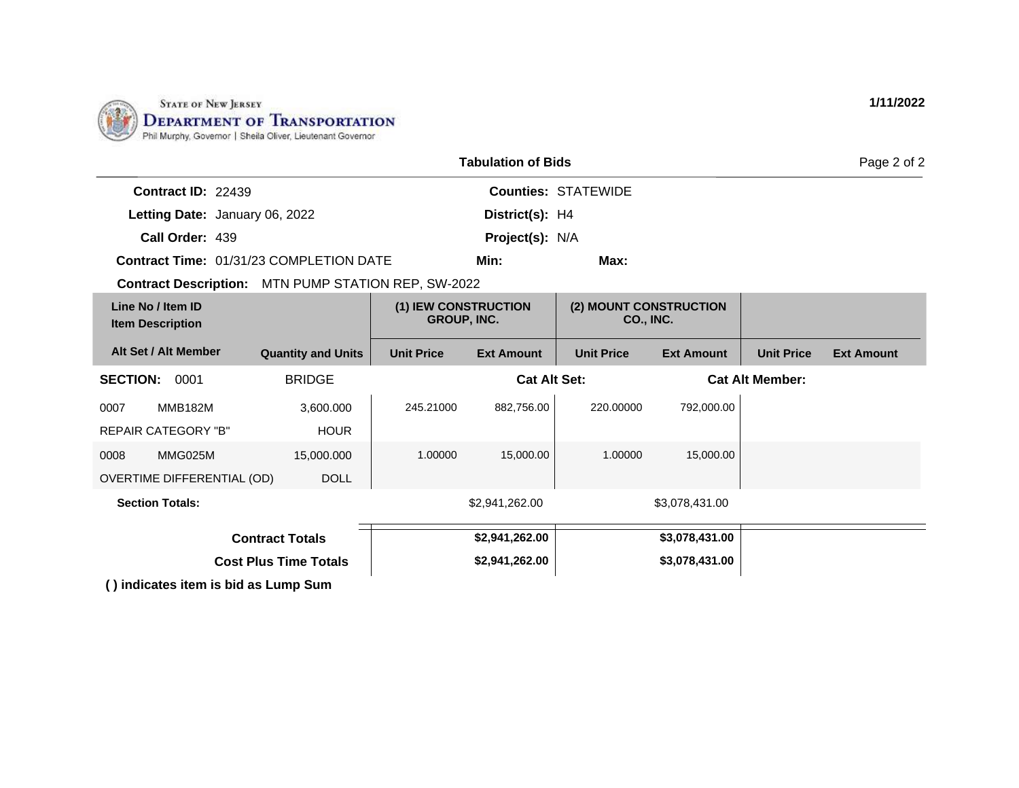

| <b>Tabulation of Bids</b>                           |                           |                                            |                     |                            |                   | Page 2 of 2            |                   |
|-----------------------------------------------------|---------------------------|--------------------------------------------|---------------------|----------------------------|-------------------|------------------------|-------------------|
| <b>Contract ID: 22439</b>                           |                           |                                            |                     | <b>Counties: STATEWIDE</b> |                   |                        |                   |
| Letting Date: January 06, 2022                      |                           |                                            | District(s): H4     |                            |                   |                        |                   |
| Call Order: 439                                     |                           |                                            | Project(s): N/A     |                            |                   |                        |                   |
| <b>Contract Time: 01/31/23 COMPLETION DATE</b>      |                           |                                            | Min:                | Max:                       |                   |                        |                   |
| Contract Description: MTN PUMP STATION REP, SW-2022 |                           |                                            |                     |                            |                   |                        |                   |
| Line No / Item ID<br><b>Item Description</b>        |                           | (1) IEW CONSTRUCTION<br><b>GROUP, INC.</b> |                     | (2) MOUNT CONSTRUCTION     | CO., INC.         |                        |                   |
| Alt Set / Alt Member                                | <b>Quantity and Units</b> | <b>Unit Price</b>                          | <b>Ext Amount</b>   | <b>Unit Price</b>          | <b>Ext Amount</b> | <b>Unit Price</b>      | <b>Ext Amount</b> |
| <b>SECTION:</b><br>0001                             | <b>BRIDGE</b>             |                                            | <b>Cat Alt Set:</b> |                            |                   | <b>Cat Alt Member:</b> |                   |
| <b>MMB182M</b><br>0007                              | 3,600.000                 | 245.21000                                  | 882,756.00          | 220.00000                  | 792,000.00        |                        |                   |
| <b>REPAIR CATEGORY "B"</b>                          | <b>HOUR</b>               |                                            |                     |                            |                   |                        |                   |
| 0008<br>MMG025M                                     | 15,000.000                | 1.00000                                    | 15,000.00           | 1.00000                    | 15,000.00         |                        |                   |
| OVERTIME DIFFERENTIAL (OD)                          | <b>DOLL</b>               |                                            |                     |                            |                   |                        |                   |
| <b>Section Totals:</b>                              |                           |                                            | \$2,941,262.00      |                            | \$3,078,431.00    |                        |                   |
| <b>Contract Totals</b>                              |                           |                                            | \$2,941,262.00      |                            | \$3,078,431.00    |                        |                   |
| <b>Cost Plus Time Totals</b>                        |                           |                                            | \$2,941,262.00      |                            | \$3,078,431.00    |                        |                   |
| () indicates item is bid as Lump Sum                |                           |                                            |                     |                            |                   |                        |                   |

**1/11/2022**